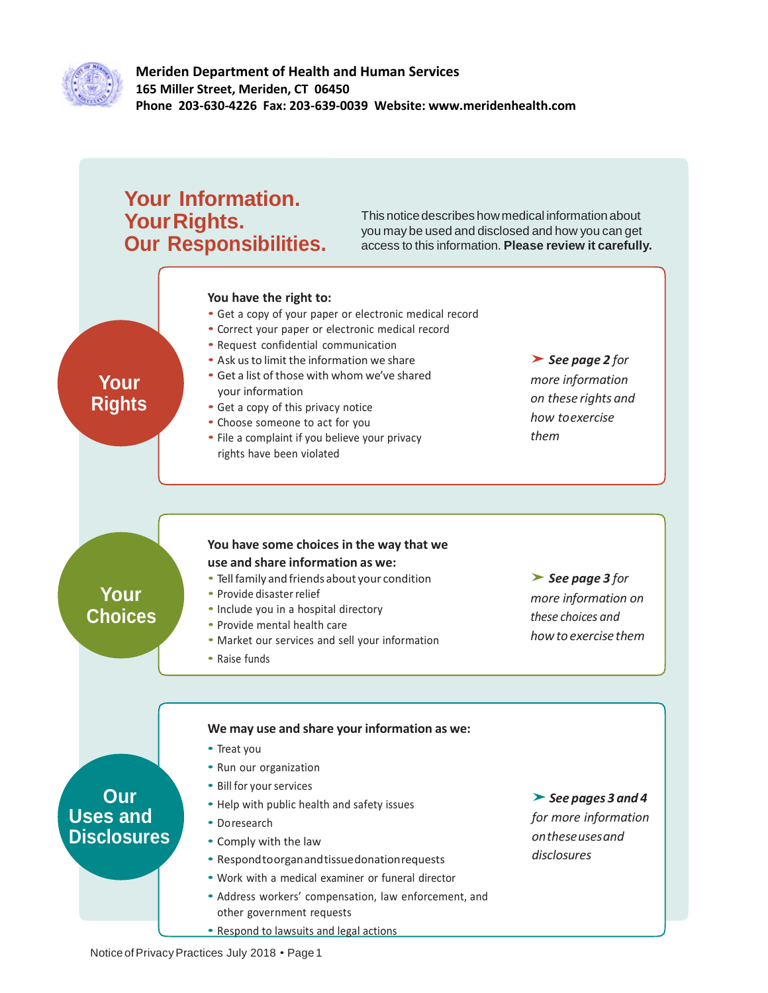

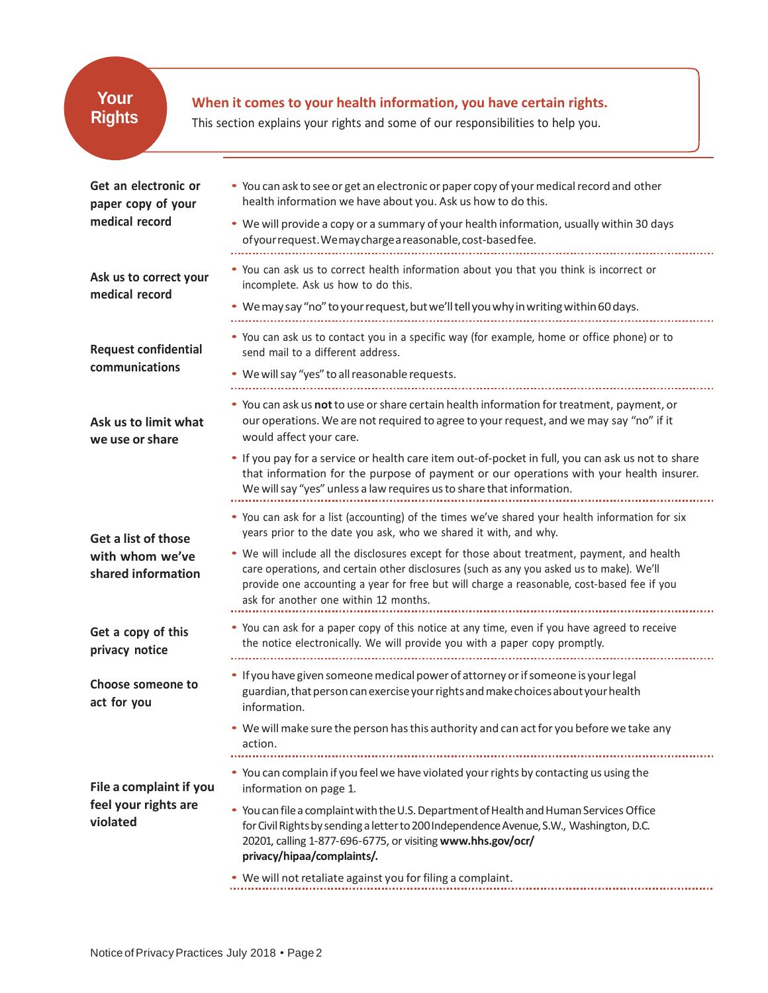# **When it comes to your health information, you have certain rights.**

This section explains your rights and some of our responsibilities to help you.

| Get an electronic or<br>paper copy of your<br>medical record | • You can ask to see or get an electronic or paper copy of your medical record and other<br>health information we have about you. Ask us how to do this.<br>• We will provide a copy or a summary of your health information, usually within 30 days<br>of your request. We may charge a reasonable, cost-based fee.                                                                                                                                                                                  |
|--------------------------------------------------------------|-------------------------------------------------------------------------------------------------------------------------------------------------------------------------------------------------------------------------------------------------------------------------------------------------------------------------------------------------------------------------------------------------------------------------------------------------------------------------------------------------------|
| Ask us to correct your<br>medical record                     | . You can ask us to correct health information about you that you think is incorrect or<br>incomplete. Ask us how to do this.<br>• We may say "no" to your request, but we'll tell you why in writing within 60 days.                                                                                                                                                                                                                                                                                 |
| <b>Request confidential</b><br>communications                | • You can ask us to contact you in a specific way (for example, home or office phone) or to<br>send mail to a different address.<br>• We will say "yes" to all reasonable requests.                                                                                                                                                                                                                                                                                                                   |
| Ask us to limit what<br>we use or share                      | • You can ask us not to use or share certain health information for treatment, payment, or<br>our operations. We are not required to agree to your request, and we may say "no" if it<br>would affect your care.                                                                                                                                                                                                                                                                                      |
|                                                              | • If you pay for a service or health care item out-of-pocket in full, you can ask us not to share<br>that information for the purpose of payment or our operations with your health insurer.<br>We will say "yes" unless a law requires us to share that information.                                                                                                                                                                                                                                 |
| Get a list of those<br>with whom we've<br>shared information | • You can ask for a list (accounting) of the times we've shared your health information for six<br>years prior to the date you ask, who we shared it with, and why.<br>. We will include all the disclosures except for those about treatment, payment, and health<br>care operations, and certain other disclosures (such as any you asked us to make). We'll<br>provide one accounting a year for free but will charge a reasonable, cost-based fee if you<br>ask for another one within 12 months. |
| Get a copy of this<br>privacy notice                         | • You can ask for a paper copy of this notice at any time, even if you have agreed to receive<br>the notice electronically. We will provide you with a paper copy promptly.                                                                                                                                                                                                                                                                                                                           |
| Choose someone to<br>act for you                             | • If you have given someone medical power of attorney or if someone is your legal<br>guardian, that person can exercise your rights and make choices about your health<br>information.                                                                                                                                                                                                                                                                                                                |
|                                                              | We will make sure the person has this authority and can act for you before we take any<br>action.                                                                                                                                                                                                                                                                                                                                                                                                     |
| File a complaint if you<br>feel your rights are<br>violated  | You can complain if you feel we have violated your rights by contacting us using the<br>information on page 1.<br>• You can file a complaint with the U.S. Department of Health and Human Services Office<br>for Civil Rights by sending a letter to 200 Independence Avenue, S.W., Washington, D.C.<br>20201, calling 1-877-696-6775, or visiting www.hhs.gov/ocr/<br>privacy/hipaa/complaints/.<br>We will not retaliate against you for filing a complaint.                                        |
|                                                              |                                                                                                                                                                                                                                                                                                                                                                                                                                                                                                       |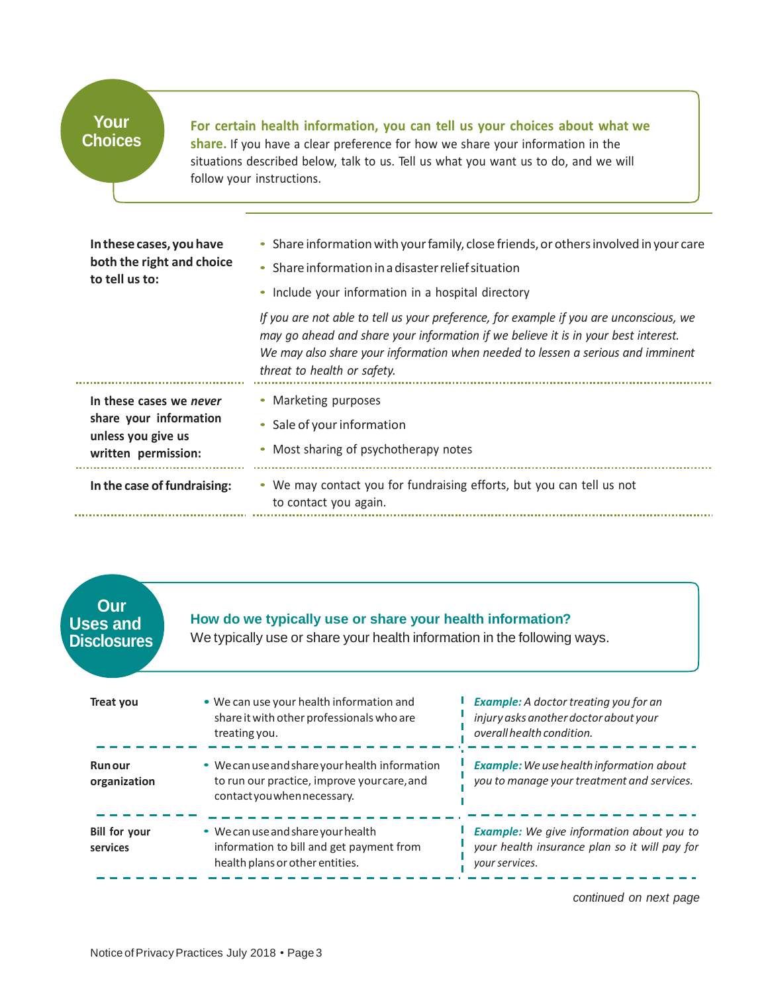# **Your Choices**

**For certain health information, you can tell us your choices about what we share.** If you have a clear preference for how we share your information in the situations described below, talk to us. Tell us what you want us to do, and we will follow your instructions.

| In these cases, you have<br>both the right and choice<br>to tell us to:                        | • Share information with your family, close friends, or others involved in your care<br>• Share information in a disaster relief situation<br>• Include your information in a hospital directory                                                                                               |
|------------------------------------------------------------------------------------------------|------------------------------------------------------------------------------------------------------------------------------------------------------------------------------------------------------------------------------------------------------------------------------------------------|
|                                                                                                | If you are not able to tell us your preference, for example if you are unconscious, we<br>may go ahead and share your information if we believe it is in your best interest.<br>We may also share your information when needed to lessen a serious and imminent<br>threat to health or safety. |
| In these cases we never<br>share your information<br>unless you give us<br>written permission: | • Marketing purposes<br>• Sale of your information<br>• Most sharing of psychotherapy notes                                                                                                                                                                                                    |
| In the case of fundraising:                                                                    | • We may contact you for fundraising efforts, but you can tell us not<br>to contact you again.                                                                                                                                                                                                 |



*continued on next page*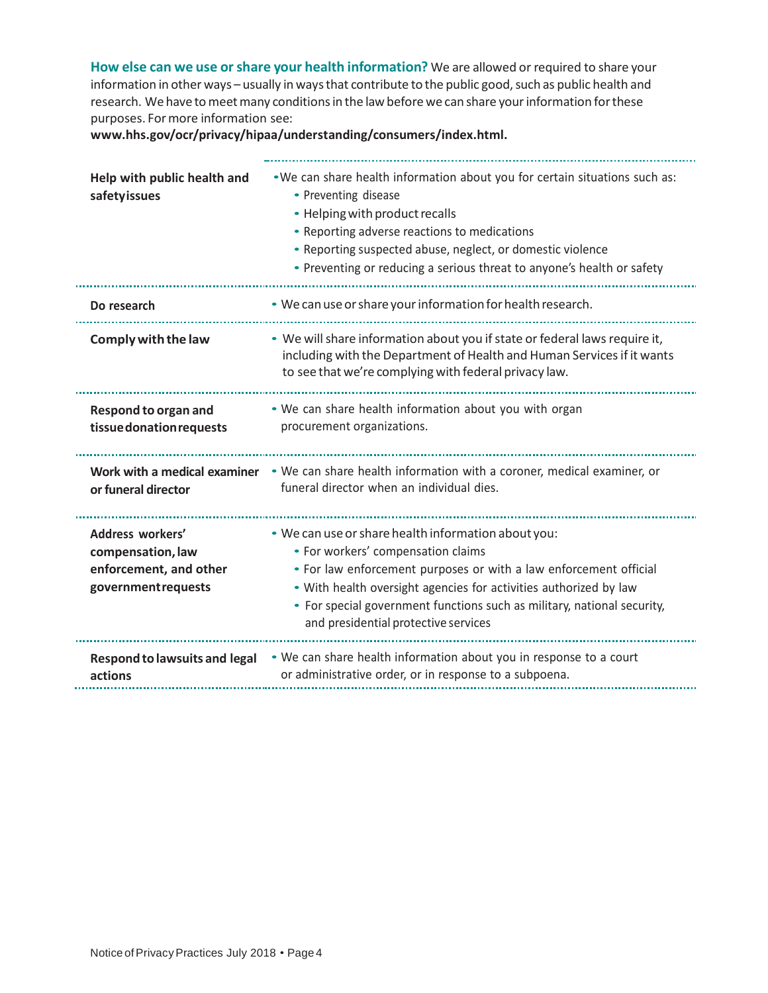**How else can we use orshare your health information?** We are allowed or required to share your information in other ways – usually in ways that contribute to the public good, such as public health and research. We have to meet many conditions in the law before we can share your information for these purposes. For more information see:

**Help with public health and** •We can share health information about you for certain situations such as: **safetyissues** • Preventing disease • Helping with product recalls • Reporting adverse reactions to medications • Reporting suspected abuse, neglect, or domestic violence • Preventing or reducing a serious threat to anyone's health or safety **Do research • We can use or share your information for health research.** .............................. **Comply with the law** • We will share information about you if state or federal laws require it, including with the Department of Health and Human Services if it wants to see that we're complying with federal privacy law. • We can share health information about you with organ **Respond to organ and tissuedonationrequests** procurement organizations. **Work with a medical examiner** • We can share health information with a coroner, medical examiner, or funeral director when an individual dies. **or funeral director** • We can use or share health information about you: **Address workers'** • For workers' compensation claims **compensation,law enforcement, and other** • For law enforcement purposes or with a law enforcement official **governmentrequests** • With health oversight agencies for activities authorized by law • For special government functions such as military, national security, and presidential protective services **Respond to lawsuits and legal** • We can share health information about you in response to a court or administrative order, or in response to a subpoena.**actions**

**[www.hhs.gov/ocr/privacy/hipaa/understanding/consumers/index.html](http://www.hhs.gov/ocr/privacy/hipaa/understanding/consumers/index.html).**